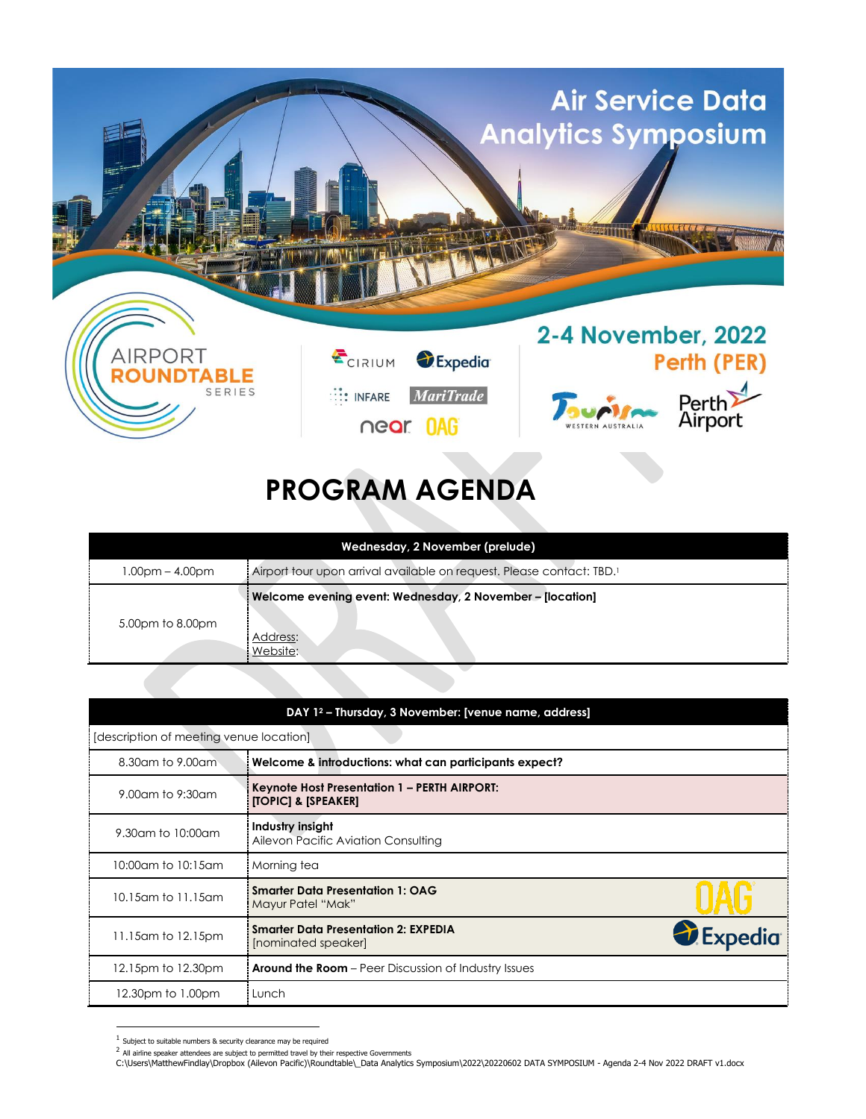

## **PROGRAM AGENDA**

| Wednesday, 2 November (prelude) |                                                                                   |  |
|---------------------------------|-----------------------------------------------------------------------------------|--|
| $1.00pm - 4.00pm$               | Airport tour upon arrival available on request. Please contact: TBD. <sup>1</sup> |  |
| 5.00pm to 8.00pm                | Welcome evening event: Wednesday, 2 November - [location]<br>Address:<br>Website: |  |

| DAY 1 <sup>2</sup> - Thursday, 3 November: [venue name, address] |                                                                                |                       |  |
|------------------------------------------------------------------|--------------------------------------------------------------------------------|-----------------------|--|
| [description of meeting venue location]                          |                                                                                |                       |  |
| 8.30am to 9.00am                                                 | Welcome & introductions: what can participants expect?                         |                       |  |
| 9.00am to 9:30am                                                 | Keynote Host Presentation 1 - PERTH AIRPORT:<br><b>[TOPIC] &amp; [SPEAKER]</b> |                       |  |
| 9.30am to 10:00am                                                | Industry insight<br>Ailevon Pacific Aviation Consulting                        |                       |  |
| 10:00am to 10:15am                                               | Morning tea                                                                    |                       |  |
| 10.15am to 11.15am                                               | <b>Smarter Data Presentation 1: OAG</b><br>Mayur Patel "Mak"                   |                       |  |
| 11.15 am to 12.15 pm                                             | <b>Smarter Data Presentation 2: EXPEDIA</b><br>[nominated speaker]             | <i><b>Expedia</b></i> |  |
| 12.15pm to 12.30pm                                               | <b>Around the Room</b> – Peer Discussion of Industry Issues                    |                       |  |
| 12.30pm to 1.00pm                                                | Lunch                                                                          |                       |  |

 $1$  Subject to suitable numbers & security clearance may be required

<sup>&</sup>lt;sup>2</sup> All airline speaker attendees are subject to permitted travel by their respective Governments

C:\Users\MatthewFindlay\Dropbox (Ailevon Pacific)\Roundtable\\_Data Analytics Symposium\2022\20220602 DATA SYMPOSIUM - Agenda 2-4 Nov 2022 DRAFT v1.docx